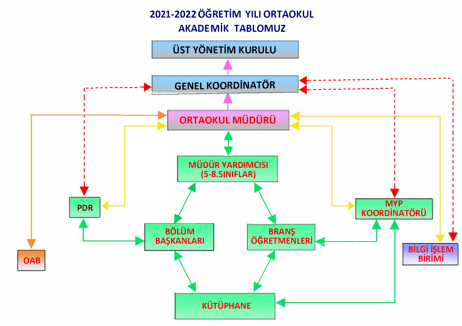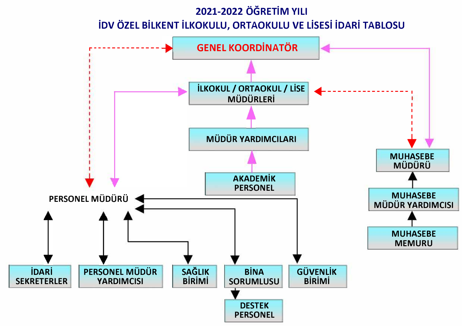## **2021-2022 ÖĞRETİM YILI İDV ÖZEL BİLKENT İLKOKULU, ORTAOKULU VE LİSESİ İDARİ TABLOSU**  r-------------- **PERSONEL MÜDÜRÜ İDARİ PERSONEL MÜDÜR**<br>RETERLER YARDIMCISI **SEKRETERLER GENEL KOORDİNATÖR İLKOKUL / ORTAOKUL / LİSE MÜDÜRLERİ MÜDÜR YARDIMCILARI SAĞLIK BİRİMİ AKADEMİK PERSONEL BİNA SORUMLUSU DESTEK PERSONEL GÜVENLİK BİRİMİ**  1 1 1 1 1  $\frac{1}{\sqrt{2}}$ **MUHASEBE MÜDÜRÜ MUHASEBE MÜDÜR YARDIMCISI MUHASEBE MEMURU**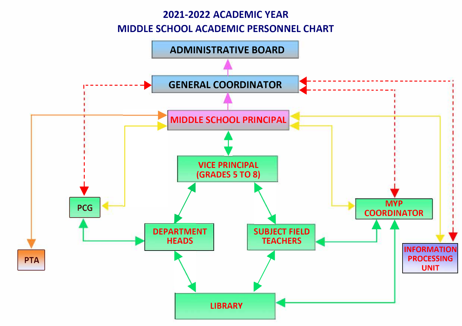## **2021-2022 ACADEMIC YEAR MIDDLE SCHOOL ACADEMIC PERSONNEL CHART**